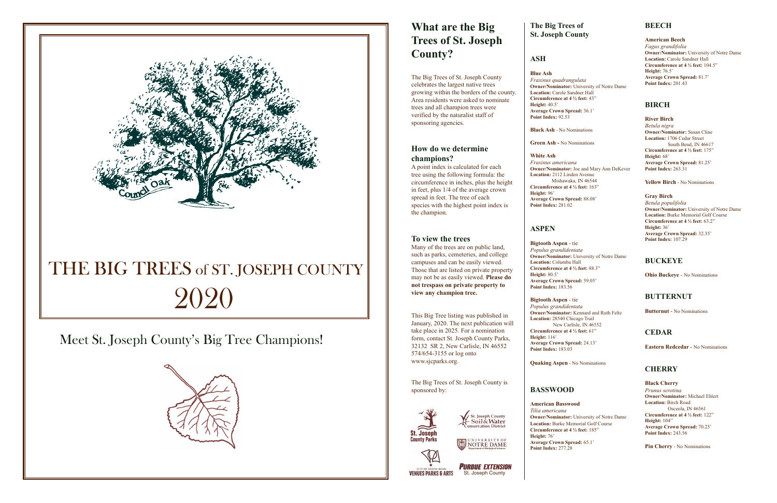# **What are the Big Trees of St. Joseph County?**

The Big Trees of St. Joseph County celebrates the largest native trees growing within the borders of the county. Area residents were asked to nominate trees and all champion trees were verified by the naturalist staff of sponsoring agencies.

#### **How do we determine champions?**

A point index is calculated for each tree using the following formula: the circumference in inches, plus the height in feet, plus 1/4 of the average crown spread in feet. The tree of each species with the highest point index is the champion.

#### **To view the trees**

Many of the trees are on public land, such as parks, cemeteries, and college campuses and can be easily viewed. Those that are listed on private property may not be as easily viewed. **Please do not trespass on private property to view any champion tree.** 

This Big Tree listing was published in January, 2020. The next publication will take place in 2025. For a nomination form, contact St. Joseph County Parks, 32132 SR 2, New Carlisle, IN 46552 574/654-3155 or log onto www.sjcparks.org.

The Big Trees of St. Joseph County is sponsored by:





## **The Big Trees of St. Joseph County**

## **ASH**

**Blue Ash**  *Fraxinus quadrangulata* **Owner/Nominator:** University of Notre Dame **Location:** Carole Sandner Hall **Circumference at 4 ½ feet:** 43" **Height:** 40.5' **Average Crown Spread:** 36.1' **Point Index:** 92.53

**Black Ash** - No Nominations

**Green Ash -** No Nominations

# **White Ash**

*Fraxinus americana* **Owner/Nominator:** Joe and Mary Ann DeKever **Location:** 2112 Linden Avenue Mishawaka, IN 46544 **Circumference at 4 ½ feet:** 163"

**Height:** 96' **Average Crown Spread:** 88.08' **Point Index:** 281.02

# **ASPEN**

**PURDUE EXTENSION VENUES PARKS & ARTS** St. Joseph County

UNIVERSITY OF NOTRE DAME **Department of Biological Sciences**

**Bigtooth Aspen** - tie *Populus grandidentata* **Owner/Nominator:** University of Notre Dame **Location:** Columba Hall **Circumference at 4 ½ feet:** 88.3" **Height:** 80.5' **Average Crown Spread:** 59.05' **Point Index:** 183.56

**Bigtooth Aspen** - tie *Populus grandidentata* **Owner/Nominator:** Kennard and Ruth Feltz **Location:** 28540 Chicago Trail **Circumference at 4 ½ feet:** 61"

New Carlisle, IN 46552

**Height:** 116' **Average Crown Spread:** 24.13' **Point Index:** 183.03

**Quaking Aspen** - No Nominations

## **BASSWOOD**

**American Basswood** *Tilia americana* **Owner/Nominator:** University of Notre Dame **Location:** Burke Memorial Golf Course **Circumference at 4 ½ feet:** 185" **Height:** 76' **Average Crown Spread:** 65.1' **Point Index:** 277.28

#### **BEECH**

**American Beech**  *Fagus grandifolia* **Owner/Nominator:** University of Notre Dame **Location:** Carole Sandner Hall **Circumference at 4 ½ feet:** 104.5" **Height:** 76.5' **Average Crown Spread:** 81.7' **Point Index:** 201.43

#### **BIRCH**

**River Birch** *Betula nigra* **Owner/Nominator:** Susan Cline **Location:** 1706 Cedar Street South Bend, IN 46617 **Circumference at 4 ½ feet:** 175" **Height:** 68' **Average Crown Spread:** 81.25' **Point Index:** 263.31

**Yellow Birch** - No Nominations

**Gray Birch** *Betula populifolia* **Owner/Nominator:** University of Notre Dame **Location:** Burke Memorial Golf Course **Circumference at 4 ½ feet:** 63.2" **Height:** 36' **Average Crown Spread:** 32.35' **Point Index:** 107.29

#### **BUCKEYE**

**Ohio Buckeye** - No Nominations

#### **BUTTERNUT**

**Butternut** - No Nominations

#### **CEDAR**

**Eastern Redcedar** - No Nominations

#### **CHERRY**

**Black Cherry** *Prunus serotina* **Owner/Nominator:** Michael Ehlert **Location:** Birch Road Osceola, IN 46561 **Circumference at 4 ½ feet:** 122" **Height:** 104'' **Average Crown Spread:** 70.25' **Point Index:** 243.56

**Pin Cherry** - No Nominations



# THE BIG TREES of ST. JOSEPH COUNTY 2020

Meet St. Joseph County's Big Tree Champions!